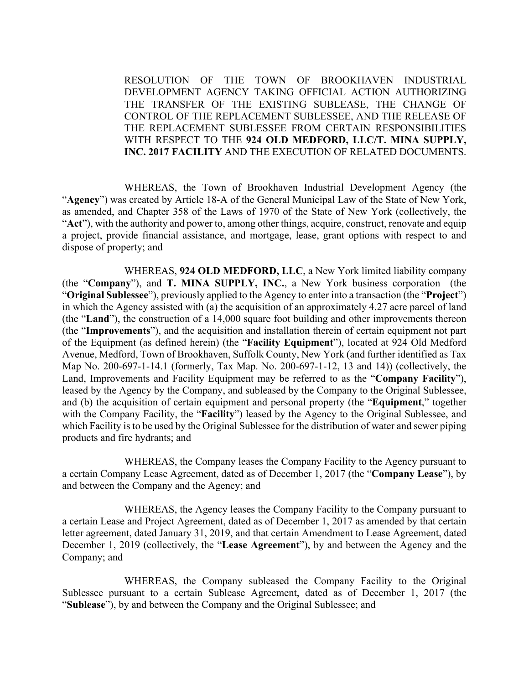RESOLUTION OF THE TOWN OF BROOKHAVEN INDUSTRIAL DEVELOPMENT AGENCY TAKING OFFICIAL ACTION AUTHORIZING THE TRANSFER OF THE EXISTING SUBLEASE, THE CHANGE OF CONTROL OF THE REPLACEMENT SUBLESSEE, AND THE RELEASE OF THE REPLACEMENT SUBLESSEE FROM CERTAIN RESPONSIBILITIES WITH RESPECT TO THE **924 OLD MEDFORD, LLC/T. MINA SUPPLY, INC. 2017 FACILITY** AND THE EXECUTION OF RELATED DOCUMENTS.

 WHEREAS, the Town of Brookhaven Industrial Development Agency (the "**Agency**") was created by Article 18-A of the General Municipal Law of the State of New York, as amended, and Chapter 358 of the Laws of 1970 of the State of New York (collectively, the "**Act**"), with the authority and power to, among other things, acquire, construct, renovate and equip a project, provide financial assistance, and mortgage, lease, grant options with respect to and dispose of property; and

 WHEREAS, **924 OLD MEDFORD, LLC**, a New York limited liability company (the "**Company**"), and **T. MINA SUPPLY, INC.**, a New York business corporation (the "**Original Sublessee**"), previously applied to the Agency to enter into a transaction (the "**Project**") in which the Agency assisted with (a) the acquisition of an approximately 4.27 acre parcel of land (the "**Land**"), the construction of a 14,000 square foot building and other improvements thereon (the "**Improvements**"), and the acquisition and installation therein of certain equipment not part of the Equipment (as defined herein) (the "**Facility Equipment**"), located at 924 Old Medford Avenue, Medford, Town of Brookhaven, Suffolk County, New York (and further identified as Tax Map No. 200-697-1-14.1 (formerly, Tax Map. No. 200-697-1-12, 13 and 14)) (collectively, the Land, Improvements and Facility Equipment may be referred to as the "**Company Facility**"), leased by the Agency by the Company, and subleased by the Company to the Original Sublessee, and (b) the acquisition of certain equipment and personal property (the "**Equipment**," together with the Company Facility, the "**Facility**") leased by the Agency to the Original Sublessee, and which Facility is to be used by the Original Sublessee for the distribution of water and sewer piping products and fire hydrants; and

 WHEREAS, the Company leases the Company Facility to the Agency pursuant to a certain Company Lease Agreement, dated as of December 1, 2017 (the "**Company Lease**"), by and between the Company and the Agency; and

 WHEREAS, the Agency leases the Company Facility to the Company pursuant to a certain Lease and Project Agreement, dated as of December 1, 2017 as amended by that certain letter agreement, dated January 31, 2019, and that certain Amendment to Lease Agreement, dated December 1, 2019 (collectively, the "**Lease Agreement**"), by and between the Agency and the Company; and

 WHEREAS, the Company subleased the Company Facility to the Original Sublessee pursuant to a certain Sublease Agreement, dated as of December 1, 2017 (the "**Sublease**"), by and between the Company and the Original Sublessee; and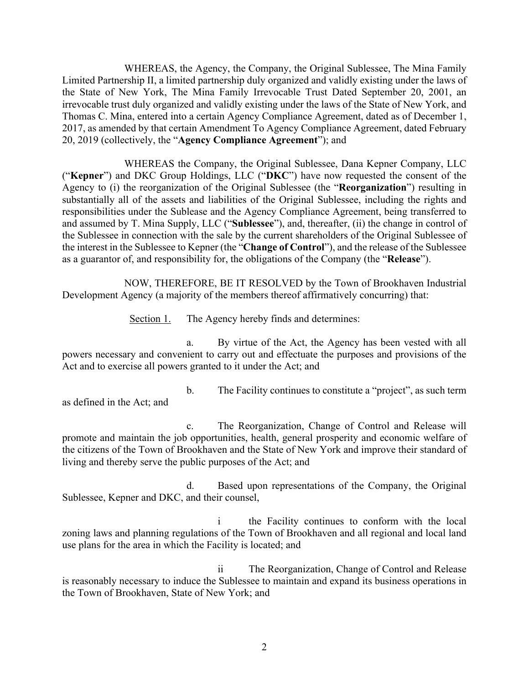WHEREAS, the Agency, the Company, the Original Sublessee, The Mina Family Limited Partnership II, a limited partnership duly organized and validly existing under the laws of the State of New York, The Mina Family Irrevocable Trust Dated September 20, 2001, an irrevocable trust duly organized and validly existing under the laws of the State of New York, and Thomas C. Mina, entered into a certain Agency Compliance Agreement, dated as of December 1, 2017, as amended by that certain Amendment To Agency Compliance Agreement, dated February 20, 2019 (collectively, the "**Agency Compliance Agreement**"); and

 WHEREAS the Company, the Original Sublessee, Dana Kepner Company, LLC ("**Kepner**") and DKC Group Holdings, LLC ("**DKC**") have now requested the consent of the Agency to (i) the reorganization of the Original Sublessee (the "**Reorganization**") resulting in substantially all of the assets and liabilities of the Original Sublessee, including the rights and responsibilities under the Sublease and the Agency Compliance Agreement, being transferred to and assumed by T. Mina Supply, LLC ("**Sublessee**"), and, thereafter, (ii) the change in control of the Sublessee in connection with the sale by the current shareholders of the Original Sublessee of the interest in the Sublessee to Kepner (the "**Change of Control**"), and the release of the Sublessee as a guarantor of, and responsibility for, the obligations of the Company (the "**Release**").

 NOW, THEREFORE, BE IT RESOLVED by the Town of Brookhaven Industrial Development Agency (a majority of the members thereof affirmatively concurring) that:

Section 1. The Agency hereby finds and determines:

a. By virtue of the Act, the Agency has been vested with all powers necessary and convenient to carry out and effectuate the purposes and provisions of the Act and to exercise all powers granted to it under the Act; and

as defined in the Act; and

b. The Facility continues to constitute a "project", as such term

c. The Reorganization, Change of Control and Release will promote and maintain the job opportunities, health, general prosperity and economic welfare of the citizens of the Town of Brookhaven and the State of New York and improve their standard of living and thereby serve the public purposes of the Act; and

d. Based upon representations of the Company, the Original Sublessee, Kepner and DKC, and their counsel,

i the Facility continues to conform with the local zoning laws and planning regulations of the Town of Brookhaven and all regional and local land use plans for the area in which the Facility is located; and

ii The Reorganization, Change of Control and Release is reasonably necessary to induce the Sublessee to maintain and expand its business operations in the Town of Brookhaven, State of New York; and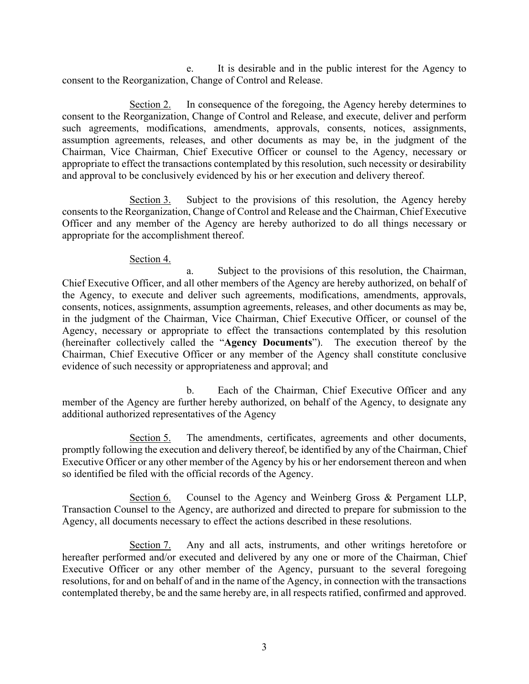e. It is desirable and in the public interest for the Agency to consent to the Reorganization, Change of Control and Release.

Section 2. In consequence of the foregoing, the Agency hereby determines to consent to the Reorganization, Change of Control and Release, and execute, deliver and perform such agreements, modifications, amendments, approvals, consents, notices, assignments, assumption agreements, releases, and other documents as may be, in the judgment of the Chairman, Vice Chairman, Chief Executive Officer or counsel to the Agency, necessary or appropriate to effect the transactions contemplated by this resolution, such necessity or desirability and approval to be conclusively evidenced by his or her execution and delivery thereof.

Section 3. Subject to the provisions of this resolution, the Agency hereby consents to the Reorganization, Change of Control and Release and the Chairman, Chief Executive Officer and any member of the Agency are hereby authorized to do all things necessary or appropriate for the accomplishment thereof.

#### Section 4.

a. Subject to the provisions of this resolution, the Chairman, Chief Executive Officer, and all other members of the Agency are hereby authorized, on behalf of the Agency, to execute and deliver such agreements, modifications, amendments, approvals, consents, notices, assignments, assumption agreements, releases, and other documents as may be, in the judgment of the Chairman, Vice Chairman, Chief Executive Officer, or counsel of the Agency, necessary or appropriate to effect the transactions contemplated by this resolution (hereinafter collectively called the "**Agency Documents**"). The execution thereof by the Chairman, Chief Executive Officer or any member of the Agency shall constitute conclusive evidence of such necessity or appropriateness and approval; and

b. Each of the Chairman, Chief Executive Officer and any member of the Agency are further hereby authorized, on behalf of the Agency, to designate any additional authorized representatives of the Agency

Section 5. The amendments, certificates, agreements and other documents, promptly following the execution and delivery thereof, be identified by any of the Chairman, Chief Executive Officer or any other member of the Agency by his or her endorsement thereon and when so identified be filed with the official records of the Agency.

Section 6. Counsel to the Agency and Weinberg Gross & Pergament LLP, Transaction Counsel to the Agency, are authorized and directed to prepare for submission to the Agency, all documents necessary to effect the actions described in these resolutions.

Section 7. Any and all acts, instruments, and other writings heretofore or hereafter performed and/or executed and delivered by any one or more of the Chairman, Chief Executive Officer or any other member of the Agency, pursuant to the several foregoing resolutions, for and on behalf of and in the name of the Agency, in connection with the transactions contemplated thereby, be and the same hereby are, in all respects ratified, confirmed and approved.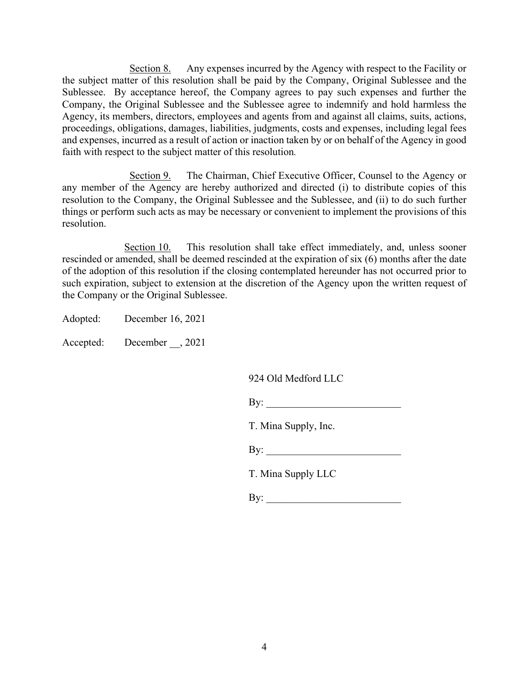Section 8. Any expenses incurred by the Agency with respect to the Facility or the subject matter of this resolution shall be paid by the Company, Original Sublessee and the Sublessee. By acceptance hereof, the Company agrees to pay such expenses and further the Company, the Original Sublessee and the Sublessee agree to indemnify and hold harmless the Agency, its members, directors, employees and agents from and against all claims, suits, actions, proceedings, obligations, damages, liabilities, judgments, costs and expenses, including legal fees and expenses, incurred as a result of action or inaction taken by or on behalf of the Agency in good faith with respect to the subject matter of this resolution*.*

Section 9. The Chairman, Chief Executive Officer, Counsel to the Agency or any member of the Agency are hereby authorized and directed (i) to distribute copies of this resolution to the Company, the Original Sublessee and the Sublessee, and (ii) to do such further things or perform such acts as may be necessary or convenient to implement the provisions of this resolution.

Section 10. This resolution shall take effect immediately, and, unless sooner rescinded or amended, shall be deemed rescinded at the expiration of six (6) months after the date of the adoption of this resolution if the closing contemplated hereunder has not occurred prior to such expiration, subject to extension at the discretion of the Agency upon the written request of the Company or the Original Sublessee.

Adopted: December 16, 2021

Accepted: December , 2021

924 Old Medford LLC

| By: |
|-----|
|-----|

T. Mina Supply, Inc.

 $\mathbf{By:}$ 

T. Mina Supply LLC

By: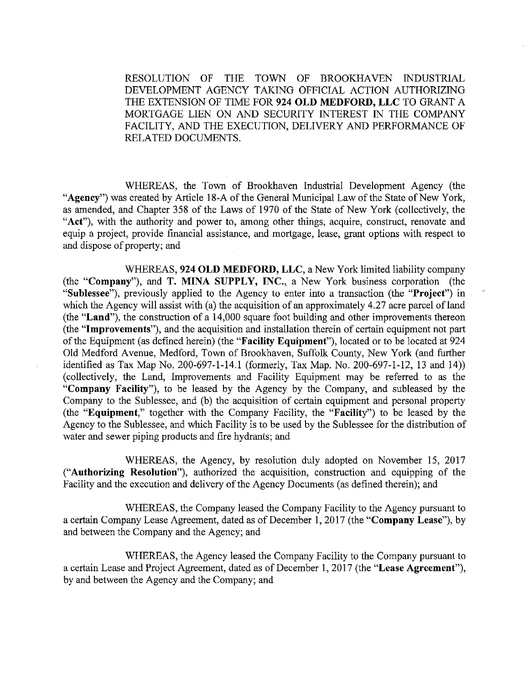THE TOWN OF BROOKHAVEN INDUSTRIAL RESOLUTION OF DEVELOPMENT AGENCY TAKING OFFICIAL ACTION AUTHORIZING THE EXTENSION OF TIME FOR 924 OLD MEDFORD, LLC TO GRANT A MORTGAGE LIEN ON AND SECURITY INTEREST IN THE COMPANY FACILITY, AND THE EXECUTION, DELIVERY AND PERFORMANCE OF RELATED DOCUMENTS.

WHEREAS, the Town of Brookhaven Industrial Development Agency (the "Agency") was created by Article 18-A of the General Municipal Law of the State of New York, as amended, and Chapter 358 of the Laws of 1970 of the State of New York (collectively, the "Act"), with the authority and power to, among other things, acquire, construct, renovate and equip a project, provide financial assistance, and mortgage, lease, grant options with respect to and dispose of property; and

WHEREAS, 924 OLD MEDFORD, LLC, a New York limited liability company (the "Company"), and T. MINA SUPPLY, INC., a New York business corporation (the "Sublessee"), previously applied to the Agency to enter into a transaction (the "Project") in which the Agency will assist with (a) the acquisition of an approximately 4.27 acre parcel of land (the "Land"), the construction of a 14,000 square foot building and other improvements thereon (the "Improvements"), and the acquisition and installation therein of certain equipment not part of the Equipment (as defined herein) (the "Facility Equipment"), located or to be located at 924 Old Medford Avenue, Medford, Town of Brookhaven, Suffolk County, New York (and further identified as Tax Map No. 200-697-1-14.1 (formerly, Tax Map. No. 200-697-1-12, 13 and 14)) (collectively, the Land, Improvements and Facility Equipment may be referred to as the "Company Facility"), to be leased by the Agency by the Company, and subleased by the Company to the Sublessee, and (b) the acquisition of certain equipment and personal property (the "Equipment," together with the Company Facility, the "Facility") to be leased by the Agency to the Sublessee, and which Facility is to be used by the Sublessee for the distribution of water and sewer piping products and fire hydrants; and

WHEREAS, the Agency, by resolution duly adopted on November 15, 2017 ("Authorizing Resolution"), authorized the acquisition, construction and equipping of the Facility and the execution and delivery of the Agency Documents (as defined therein); and

WHEREAS, the Company leased the Company Facility to the Agency pursuant to a certain Company Lease Agreement, dated as of December 1, 2017 (the "Company Lease"), by and between the Company and the Agency; and

WHEREAS, the Agency leased the Company Facility to the Company pursuant to a certain Lease and Project Agreement, dated as of December 1, 2017 (the "Lease Agreement"), by and between the Agency and the Company; and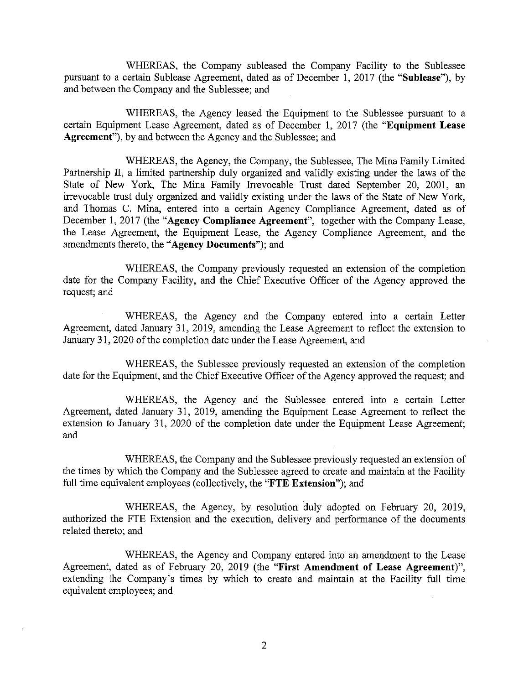WHEREAS, the Company subleased the Company Facility to the Sublessee pursuant to a certain Sublease Agreement, dated as of December 1, 2017 (the "Sublease"), by and between the Company and the Sublessee; and

WHEREAS, the Agency leased the Equipment to the Sublessee pursuant to a certain Equipment Lease Agreement, dated as of December 1, 2017 (the "Equipment Lease Agreement", by and between the Agency and the Sublessee; and

WHEREAS, the Agency, the Company, the Sublessee, The Mina Family Limited Partnership II, a limited partnership duly organized and validly existing under the laws of the State of New York, The Mina Family Irrevocable Trust dated September 20, 2001, an irrevocable trust duly organized and validly existing under the laws of the State of New York, and Thomas C. Mina, entered into a certain Agency Compliance Agreement, dated as of December 1, 2017 (the "Agency Compliance Agreement", together with the Company Lease, the Lease Agreement, the Equipment Lease, the Agency Compliance Agreement, and the amendments thereto, the "Agency Documents"); and

WHEREAS, the Company previously requested an extension of the completion date for the Company Facility, and the Chief Executive Officer of the Agency approved the request; and

WHEREAS, the Agency and the Company entered into a certain Letter Agreement, dated January 31, 2019, amending the Lease Agreement to reflect the extension to January 31, 2020 of the completion date under the Lease Agreement, and

WHEREAS, the Sublessee previously requested an extension of the completion date for the Equipment, and the Chief Executive Officer of the Agency approved the request; and

WHEREAS, the Agency and the Sublessee entered into a certain Letter Agreement, dated January 31, 2019, amending the Equipment Lease Agreement to reflect the extension to January 31, 2020 of the completion date under the Equipment Lease Agreement; and

WHEREAS, the Company and the Sublessee previously requested an extension of the times by which the Company and the Sublessee agreed to create and maintain at the Facility full time equivalent employees (collectively, the "FTE Extension"); and

WHEREAS, the Agency, by resolution duly adopted on February 20, 2019, authorized the FTE Extension and the execution, delivery and performance of the documents related thereto; and

WHEREAS, the Agency and Company entered into an amendment to the Lease Agreement, dated as of February 20, 2019 (the "First Amendment of Lease Agreement)", extending the Company's times by which to create and maintain at the Facility full time equivalent employees; and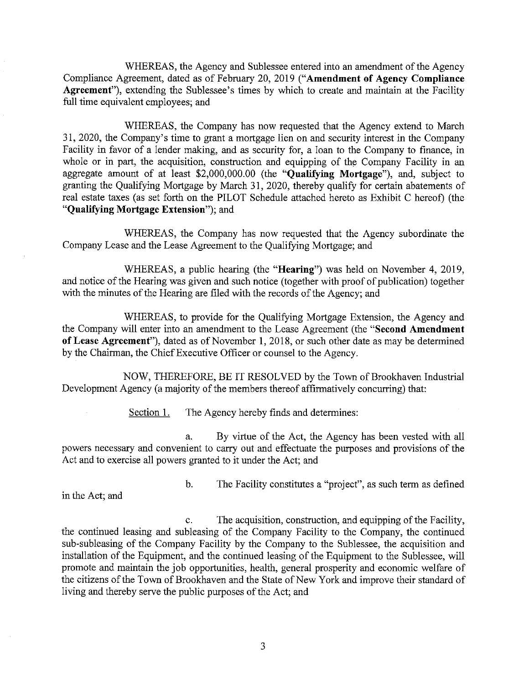WHEREAS, the Agency and Sublessee entered into an amendment of the Agency Compliance Agreement, dated as of February 20, 2019 ("Amendment of Agency Compliance Agreement"), extending the Sublessee's times by which to create and maintain at the Facility full time equivalent employees; and

WHEREAS, the Company has now requested that the Agency extend to March 31, 2020, the Company's time to grant a mortgage lien on and security interest in the Company Facility in favor of a lender making, and as security for, a loan to the Company to finance, in whole or in part, the acquisition, construction and equipping of the Company Facility in an aggregate amount of at least \$2,000,000.00 (the "Qualifying Mortgage"), and, subject to granting the Qualifying Mortgage by March 31, 2020, thereby qualify for certain abatements of real estate taxes (as set forth on the PILOT Schedule attached hereto as Exhibit C hereof) (the "Qualifying Mortgage Extension"); and

WHEREAS, the Company has now requested that the Agency subordinate the Company Lease and the Lease Agreement to the Qualifying Mortgage; and

WHEREAS, a public hearing (the "**Hearing**") was held on November 4, 2019, and notice of the Hearing was given and such notice (together with proof of publication) together with the minutes of the Hearing are filed with the records of the Agency; and

WHEREAS, to provide for the Qualifying Mortgage Extension, the Agency and the Company will enter into an amendment to the Lease Agreement (the "Second Amendment of Lease Agreement"), dated as of November 1, 2018, or such other date as may be determined by the Chairman, the Chief Executive Officer or counsel to the Agency.

NOW, THEREFORE, BE IT RESOLVED by the Town of Brookhaven Industrial Development Agency (a majority of the members thereof affirmatively concurring) that:

> Section 1. The Agency hereby finds and determines:

By virtue of the Act, the Agency has been vested with all a. powers necessary and convenient to carry out and effectuate the purposes and provisions of the Act and to exercise all powers granted to it under the Act; and

in the Act; and

 $<sub>b</sub>$ </sub> The Facility constitutes a "project", as such term as defined

The acquisition, construction, and equipping of the Facility,  $\mathbf{c}$ . the continued leasing and subleasing of the Company Facility to the Company, the continued sub-subleasing of the Company Facility by the Company to the Sublessee, the acquisition and installation of the Equipment, and the continued leasing of the Equipment to the Sublessee, will promote and maintain the job opportunities, health, general prosperity and economic welfare of the citizens of the Town of Brookhaven and the State of New York and improve their standard of living and thereby serve the public purposes of the Act; and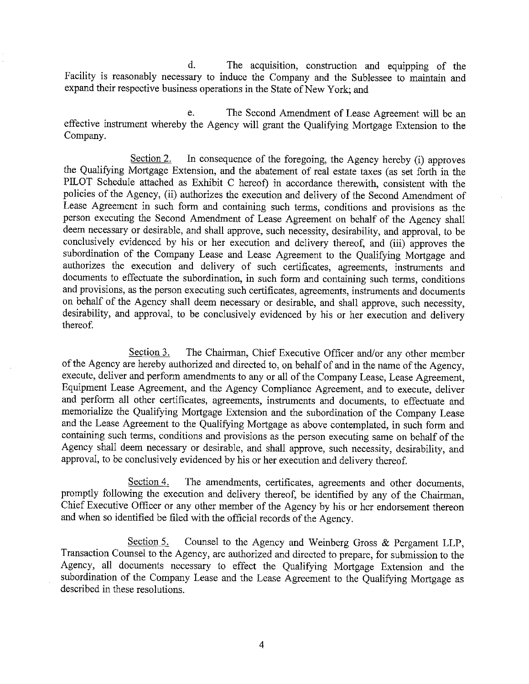$\mathbf{d}$ . The acquisition, construction and equipping of the Facility is reasonably necessary to induce the Company and the Sublessee to maintain and expand their respective business operations in the State of New York; and

e. The Second Amendment of Lease Agreement will be an effective instrument whereby the Agency will grant the Qualifying Mortgage Extension to the Company.

Section 2. In consequence of the foregoing, the Agency hereby (i) approves the Qualifying Mortgage Extension, and the abatement of real estate taxes (as set forth in the PILOT Schedule attached as Exhibit C hereof) in accordance therewith, consistent with the policies of the Agency, (ii) authorizes the execution and delivery of the Second Amendment of Lease Agreement in such form and containing such terms, conditions and provisions as the person executing the Second Amendment of Lease Agreement on behalf of the Agency shall deem necessary or desirable, and shall approve, such necessity, desirability, and approval, to be conclusively evidenced by his or her execution and delivery thereof, and (iii) approves the subordination of the Company Lease and Lease Agreement to the Qualifying Mortgage and authorizes the execution and delivery of such certificates, agreements, instruments and documents to effectuate the subordination, in such form and containing such terms, conditions and provisions, as the person executing such certificates, agreements, instruments and documents on behalf of the Agency shall deem necessary or desirable, and shall approve, such necessity, desirability, and approval, to be conclusively evidenced by his or her execution and delivery thereof.

Section 3. The Chairman, Chief Executive Officer and/or any other member of the Agency are hereby authorized and directed to, on behalf of and in the name of the Agency, execute, deliver and perform amendments to any or all of the Company Lease, Lease Agreement, Equipment Lease Agreement, and the Agency Compliance Agreement, and to execute, deliver and perform all other certificates, agreements, instruments and documents, to effectuate and memorialize the Qualifying Mortgage Extension and the subordination of the Company Lease and the Lease Agreement to the Qualifying Mortgage as above contemplated, in such form and containing such terms, conditions and provisions as the person executing same on behalf of the Agency shall deem necessary or desirable, and shall approve, such necessity, desirability, and approval, to be conclusively evidenced by his or her execution and delivery thereof.

Section 4. The amendments, certificates, agreements and other documents, promptly following the execution and delivery thereof, be identified by any of the Chairman, Chief Executive Officer or any other member of the Agency by his or her endorsement thereon and when so identified be filed with the official records of the Agency.

Counsel to the Agency and Weinberg Gross & Pergament LLP, Section 5. Transaction Counsel to the Agency, are authorized and directed to prepare, for submission to the Agency, all documents necessary to effect the Qualifying Mortgage Extension and the subordination of the Company Lease and the Lease Agreement to the Qualifying Mortgage as described in these resolutions.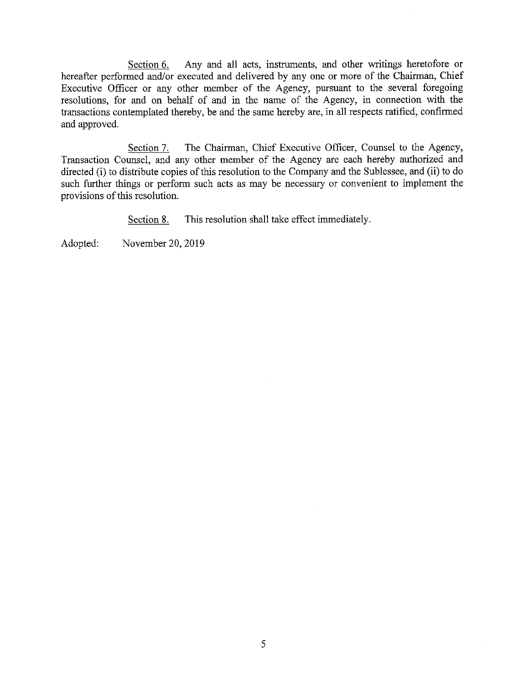Any and all acts, instruments, and other writings heretofore or Section 6. hereafter performed and/or executed and delivered by any one or more of the Chairman, Chief Executive Officer or any other member of the Agency, pursuant to the several foregoing resolutions, for and on behalf of and in the name of the Agency, in connection with the transactions contemplated thereby, be and the same hereby are, in all respects ratified, confirmed and approved.

The Chairman, Chief Executive Officer, Counsel to the Agency, Section 7. Transaction Counsel, and any other member of the Agency are each hereby authorized and directed (i) to distribute copies of this resolution to the Company and the Sublessee, and (ii) to do such further things or perform such acts as may be necessary or convenient to implement the provisions of this resolution.

> This resolution shall take effect immediately. Section 8.

Adopted: November 20, 2019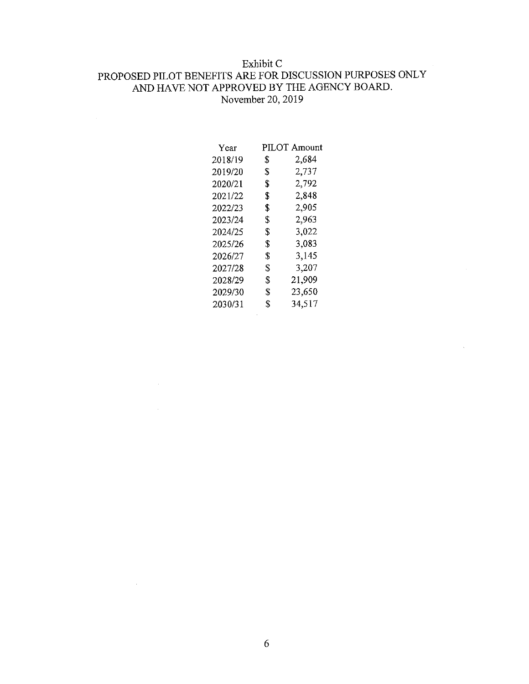### Exhibit C

# PROPOSED PILOT BENEFITS ARE FOR DISCUSSION PURPOSES ONLY AND HAVE NOT APPROVED BY THE AGENCY BOARD. November 20, 2019

| Year    | PILOT Amount |        |
|---------|--------------|--------|
| 2018/19 | S            | 2,684  |
| 2019/20 | \$           | 2,737  |
| 2020/21 | \$           | 2,792  |
| 2021/22 | \$           | 2,848  |
| 2022/23 | \$           | 2,905  |
| 2023/24 | \$           | 2,963  |
| 2024/25 | \$           | 3,022  |
| 2025/26 | \$           | 3,083  |
| 2026/27 | \$           | 3.145  |
| 2027/28 | \$           | 3,207  |
| 2028/29 | \$           | 21,909 |
| 2029/30 | \$           | 23,650 |
| 2030/31 | \$           | 34,517 |
|         |              |        |

 $\bar{\mathbf{v}}$ 

 $\sim 10^7$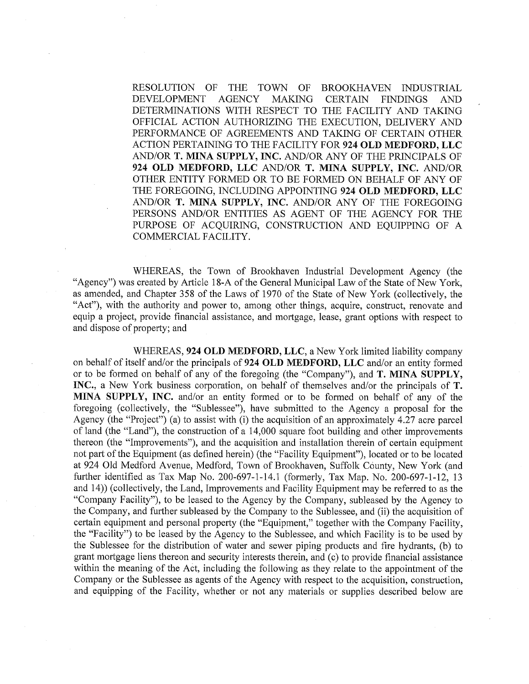RESOLUTION OF THE TOWN OF BROOKHAVEN INDUSTRIAL **DEVELOPMENT AGENCY MAKING CERTAIN FINDINGS AND** DETERMINATIONS WITH RESPECT TO THE FACILITY AND TAKING OFFICIAL ACTION AUTHORIZING THE EXECUTION, DELIVERY AND PERFORMANCE OF AGREEMENTS AND TAKING OF CERTAIN OTHER ACTION PERTAINING TO THE FACILITY FOR 924 OLD MEDFORD, LLC AND/OR T. MINA SUPPLY, INC. AND/OR ANY OF THE PRINCIPALS OF 924 OLD MEDFORD, LLC AND/OR T. MINA SUPPLY, INC. AND/OR OTHER ENTITY FORMED OR TO BE FORMED ON BEHALF OF ANY OF THE FOREGOING, INCLUDING APPOINTING 924 OLD MEDFORD, LLC AND/OR T. MINA SUPPLY, INC. AND/OR ANY OF THE FOREGOING PERSONS AND/OR ENTITIES AS AGENT OF THE AGENCY FOR THE PURPOSE OF ACQUIRING, CONSTRUCTION AND EOUIPPING OF A COMMERCIAL FACILITY.

WHEREAS, the Town of Brookhaven Industrial Development Agency (the "Agency") was created by Article 18-A of the General Municipal Law of the State of New York, as amended, and Chapter 358 of the Laws of 1970 of the State of New York (collectively, the "Act"), with the authority and power to, among other things, acquire, construct, renovate and equip a project, provide financial assistance, and mortgage, lease, grant options with respect to and dispose of property; and

WHEREAS, 924 OLD MEDFORD, LLC, a New York limited liability company on behalf of itself and/or the principals of 924 OLD MEDFORD, LLC and/or an entity formed or to be formed on behalf of any of the foregoing (the "Company"), and T. MINA SUPPLY, INC., a New York business corporation, on behalf of themselves and/or the principals of T. MINA SUPPLY, INC. and/or an entity formed or to be formed on behalf of any of the foregoing (collectively, the "Sublessee"), have submitted to the Agency a proposal for the Agency (the "Project") (a) to assist with (i) the acquisition of an approximately 4.27 acre parcel of land (the "Land"), the construction of a 14,000 square foot building and other improvements thereon (the "Improvements"), and the acquisition and installation therein of certain equipment not part of the Equipment (as defined herein) (the "Facility Equipment"), located or to be located at 924 Old Medford Avenue, Medford, Town of Brookhaven, Suffolk County, New York (and further identified as Tax Map No. 200-697-1-14.1 (formerly, Tax Map. No. 200-697-1-12, 13 and 14)) (collectively, the Land, Improvements and Facility Equipment may be referred to as the "Company Facility"), to be leased to the Agency by the Company, subleased by the Agency to the Company, and further subleased by the Company to the Sublessee, and (ii) the acquisition of certain equipment and personal property (the "Equipment," together with the Company Facility, the "Facility") to be leased by the Agency to the Sublessee, and which Facility is to be used by the Sublessee for the distribution of water and sewer piping products and fire hydrants, (b) to grant mortgage liens thereon and security interests therein, and (c) to provide financial assistance within the meaning of the Act, including the following as they relate to the appointment of the Company or the Sublessee as agents of the Agency with respect to the acquisition, construction, and equipping of the Facility, whether or not any materials or supplies described below are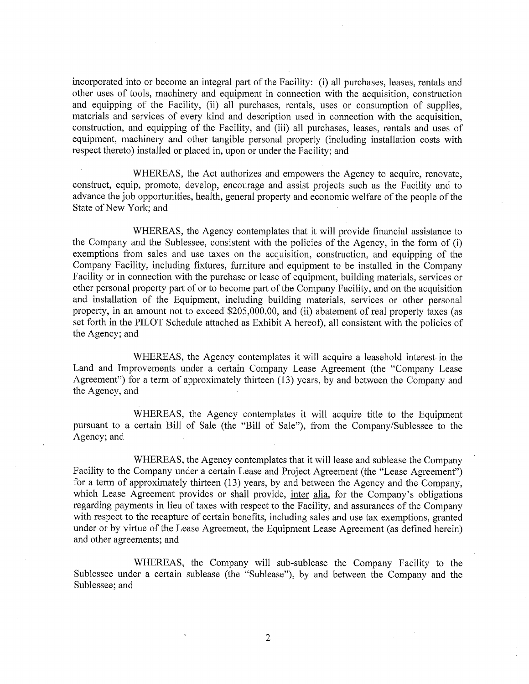incorporated into or become an integral part of the Facility: (i) all purchases, leases, rentals and other uses of tools, machinery and equipment in connection with the acquisition, construction and equipping of the Facility, (ii) all purchases, rentals, uses or consumption of supplies, materials and services of every kind and description used in connection with the acquisition, construction, and equipping of the Facility, and (iii) all purchases, leases, rentals and uses of equipment, machinery and other tangible personal property (including installation costs with respect thereto) installed or placed in, upon or under the Facility; and

WHEREAS, the Act authorizes and empowers the Agency to acquire, renovate, construct, equip, promote, develop, encourage and assist projects such as the Facility and to advance the job opportunities, health, general property and economic welfare of the people of the State of New York; and

WHEREAS, the Agency contemplates that it will provide financial assistance to the Company and the Sublessee, consistent with the policies of the Agency, in the form of (i) exemptions from sales and use taxes on the acquisition, construction, and equipping of the Company Facility, including fixtures, furniture and equipment to be installed in the Company Facility or in connection with the purchase or lease of equipment, building materials, services or other personal property part of or to become part of the Company Facility, and on the acquisition and installation of the Equipment, including building materials, services or other personal property, in an amount not to exceed \$205,000.00, and (ii) abatement of real property taxes (as set forth in the PILOT Schedule attached as Exhibit A hereof), all consistent with the policies of the Agency; and

WHEREAS, the Agency contemplates it will acquire a leasehold interest in the Land and Improvements under a certain Company Lease Agreement (the "Company Lease Agreement") for a term of approximately thirteen (13) years, by and between the Company and the Agency, and

WHEREAS, the Agency contemplates it will acquire title to the Equipment pursuant to a certain Bill of Sale (the "Bill of Sale"), from the Company/Sublessee to the Agency; and

WHEREAS, the Agency contemplates that it will lease and sublease the Company Facility to the Company under a certain Lease and Project Agreement (the "Lease Agreement") for a term of approximately thirteen (13) years, by and between the Agency and the Company, which Lease Agreement provides or shall provide, inter alia, for the Company's obligations regarding payments in lieu of taxes with respect to the Facility, and assurances of the Company with respect to the recapture of certain benefits, including sales and use tax exemptions, granted under or by virtue of the Lease Agreement, the Equipment Lease Agreement (as defined herein) and other agreements; and

WHEREAS, the Company will sub-sublease the Company Facility to the Sublessee under a certain sublease (the "Sublease"), by and between the Company and the Sublessee; and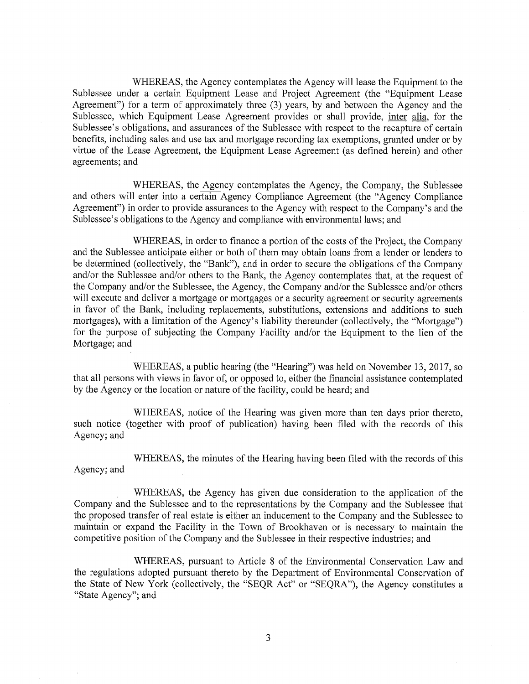WHEREAS, the Agency contemplates the Agency will lease the Equipment to the Sublessee under a certain Equipment Lease and Project Agreement (the "Equipment Lease Agreement") for a term of approximately three (3) years, by and between the Agency and the Sublessee, which Equipment Lease Agreement provides or shall provide, inter alia, for the Sublessee's obligations, and assurances of the Sublessee with respect to the recapture of certain benefits, including sales and use tax and mortgage recording tax exemptions, granted under or by virtue of the Lease Agreement, the Equipment Lease Agreement (as defined herein) and other agreements; and

WHEREAS, the Agency contemplates the Agency, the Company, the Sublessee and others will enter into a certain Agency Compliance Agreement (the "Agency Compliance" Agreement") in order to provide assurances to the Agency with respect to the Company's and the Sublessee's obligations to the Agency and compliance with environmental laws; and

WHEREAS, in order to finance a portion of the costs of the Project, the Company and the Sublessee anticipate either or both of them may obtain loans from a lender or lenders to be determined (collectively, the "Bank"), and in order to secure the obligations of the Company and/or the Sublessee and/or others to the Bank, the Agency contemplates that, at the request of the Company and/or the Sublessee, the Agency, the Company and/or the Sublessee and/or others will execute and deliver a mortgage or mortgages or a security agreement or security agreements in favor of the Bank, including replacements, substitutions, extensions and additions to such mortgages), with a limitation of the Agency's liability thereunder (collectively, the "Mortgage") for the purpose of subjecting the Company Facility and/or the Equipment to the lien of the Mortgage; and

WHEREAS, a public hearing (the "Hearing") was held on November 13, 2017, so that all persons with views in favor of, or opposed to, either the financial assistance contemplated by the Agency or the location or nature of the facility, could be heard; and

WHEREAS, notice of the Hearing was given more than ten days prior thereto, such notice (together with proof of publication) having been filed with the records of this Agency; and

WHEREAS, the minutes of the Hearing having been filed with the records of this Agency; and

WHEREAS, the Agency has given due consideration to the application of the Company and the Sublessee and to the representations by the Company and the Sublessee that the proposed transfer of real estate is either an inducement to the Company and the Sublessee to maintain or expand the Facility in the Town of Brookhaven or is necessary to maintain the competitive position of the Company and the Sublessee in their respective industries; and

WHEREAS, pursuant to Article 8 of the Environmental Conservation Law and the regulations adopted pursuant thereto by the Department of Environmental Conservation of the State of New York (collectively, the "SEQR Act" or "SEQRA"), the Agency constitutes a "State Agency"; and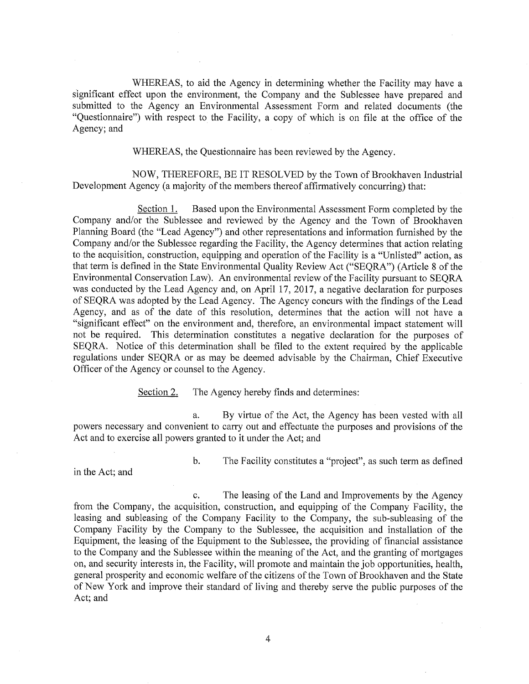WHEREAS, to aid the Agency in determining whether the Facility may have a significant effect upon the environment, the Company and the Sublessee have prepared and submitted to the Agency an Environmental Assessment Form and related documents (the "Questionnaire") with respect to the Facility, a copy of which is on file at the office of the Agency; and

WHEREAS, the Questionnaire has been reviewed by the Agency.

NOW, THEREFORE, BE IT RESOLVED by the Town of Brookhaven Industrial Development Agency (a majority of the members thereof affirmatively concurring) that:

Section 1. Based upon the Environmental Assessment Form completed by the Company and/or the Sublessee and reviewed by the Agency and the Town of Brookhaven Planning Board (the "Lead Agency") and other representations and information furnished by the Company and/or the Sublessee regarding the Facility, the Agency determines that action relating to the acquisition, construction, equipping and operation of the Facility is a "Unlisted" action, as that term is defined in the State Environmental Quality Review Act ("SEQRA") (Article 8 of the Environmental Conservation Law). An environmental review of the Facility pursuant to SEQRA was conducted by the Lead Agency and, on April 17, 2017, a negative declaration for purposes of SEQRA was adopted by the Lead Agency. The Agency concurs with the findings of the Lead Agency, and as of the date of this resolution, determines that the action will not have a "significant effect" on the environment and, therefore, an environmental impact statement will not be required. This determination constitutes a negative declaration for the purposes of SEQRA. Notice of this determination shall be filed to the extent required by the applicable regulations under SEQRA or as may be deemed advisable by the Chairman, Chief Executive Officer of the Agency or counsel to the Agency.

> Section 2. The Agency hereby finds and determines:

By virtue of the Act, the Agency has been vested with all a. powers necessary and convenient to carry out and effectuate the purposes and provisions of the Act and to exercise all powers granted to it under the Act; and

in the Act; and

 $\mathbf{b}$ . The Facility constitutes a "project", as such term as defined

The leasing of the Land and Improvements by the Agency  $\mathbf{c}$ . from the Company, the acquisition, construction, and equipping of the Company Facility, the leasing and subleasing of the Company Facility to the Company, the sub-subleasing of the Company Facility by the Company to the Sublessee, the acquisition and installation of the Equipment, the leasing of the Equipment to the Sublessee, the providing of financial assistance to the Company and the Sublessee within the meaning of the Act, and the granting of mortgages on, and security interests in, the Facility, will promote and maintain the job opportunities, health, general prosperity and economic welfare of the citizens of the Town of Brookhaven and the State of New York and improve their standard of living and thereby serve the public purposes of the Act; and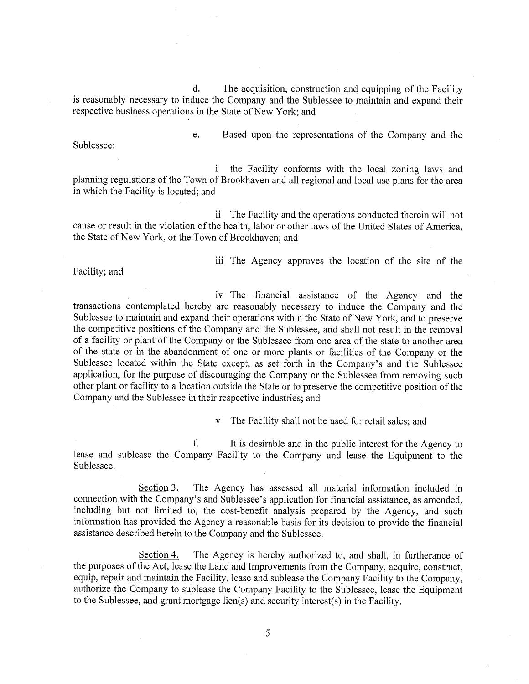d. The acquisition, construction and equipping of the Facility is reasonably necessary to induce the Company and the Sublessee to maintain and expand their respective business operations in the State of New York; and

Sublessee:

e. Based upon the representations of the Company and the

 $\mathbf{i}$ the Facility conforms with the local zoning laws and planning regulations of the Town of Brookhaven and all regional and local use plans for the area in which the Facility is located; and

ii The Facility and the operations conducted therein will not cause or result in the violation of the health, labor or other laws of the United States of America, the State of New York, or the Town of Brookhaven; and

Facility; and

iii The Agency approves the location of the site of the

iv The financial assistance of the Agency and the transactions contemplated hereby are reasonably necessary to induce the Company and the Sublessee to maintain and expand their operations within the State of New York, and to preserve the competitive positions of the Company and the Sublessee, and shall not result in the removal of a facility or plant of the Company or the Sublessee from one area of the state to another area of the state or in the abandonment of one or more plants or facilities of the Company or the Sublessee located within the State except, as set forth in the Company's and the Sublessee application, for the purpose of discouraging the Company or the Sublessee from removing such other plant or facility to a location outside the State or to preserve the competitive position of the Company and the Sublessee in their respective industries; and

> The Facility shall not be used for retail sales; and  $\mathbf{V}$

f. It is desirable and in the public interest for the Agency to lease and sublease the Company Facility to the Company and lease the Equipment to the Sublessee.

Section 3. The Agency has assessed all material information included in connection with the Company's and Sublessee's application for financial assistance, as amended, including but not limited to, the cost-benefit analysis prepared by the Agency, and such information has provided the Agency a reasonable basis for its decision to provide the financial assistance described herein to the Company and the Sublessee.

Section 4. The Agency is hereby authorized to, and shall, in furtherance of the purposes of the Act, lease the Land and Improvements from the Company, acquire, construct, equip, repair and maintain the Facility, lease and sublease the Company Facility to the Company, authorize the Company to sublease the Company Facility to the Sublessee, lease the Equipment to the Sublessee, and grant mortgage lien(s) and security interest(s) in the Facility.

5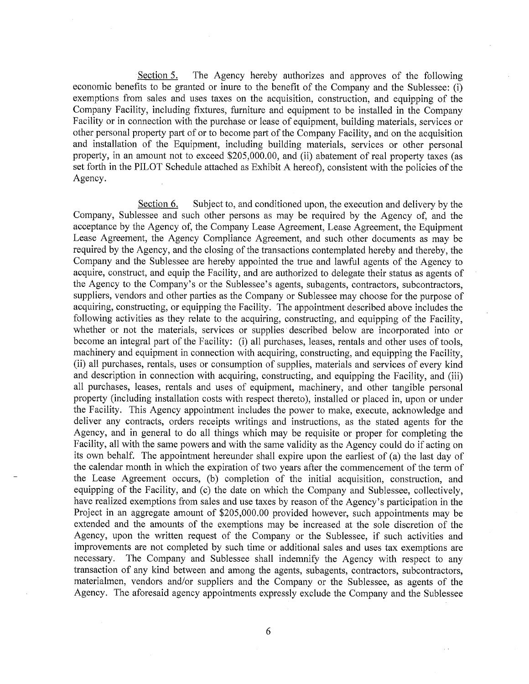Section 5. The Agency hereby authorizes and approves of the following economic benefits to be granted or inure to the benefit of the Company and the Sublessee: (i) exemptions from sales and uses taxes on the acquisition, construction, and equipping of the Company Facility, including fixtures, furniture and equipment to be installed in the Company Facility or in connection with the purchase or lease of equipment, building materials, services or other personal property part of or to become part of the Company Facility, and on the acquisition and installation of the Equipment, including building materials, services or other personal property, in an amount not to exceed \$205,000.00, and (ii) abatement of real property taxes (as set forth in the PILOT Schedule attached as Exhibit A hereof), consistent with the policies of the Agency.

Section 6. Subject to, and conditioned upon, the execution and delivery by the Company, Sublessee and such other persons as may be required by the Agency of, and the acceptance by the Agency of, the Company Lease Agreement, Lease Agreement, the Equipment Lease Agreement, the Agency Compliance Agreement, and such other documents as may be required by the Agency, and the closing of the transactions contemplated hereby and thereby, the Company and the Sublessee are hereby appointed the true and lawful agents of the Agency to acquire, construct, and equip the Facility, and are authorized to delegate their status as agents of the Agency to the Company's or the Sublessee's agents, subagents, contractors, subcontractors, suppliers, vendors and other parties as the Company or Sublessee may choose for the purpose of acquiring, constructing, or equipping the Facility. The appointment described above includes the following activities as they relate to the acquiring, constructing, and equipping of the Facility, whether or not the materials, services or supplies described below are incorporated into or become an integral part of the Facility: (i) all purchases, leases, rentals and other uses of tools, machinery and equipment in connection with acquiring, constructing, and equipping the Facility, (ii) all purchases, rentals, uses or consumption of supplies, materials and services of every kind and description in connection with acquiring, constructing, and equipping the Facility, and (iii) all purchases, leases, rentals and uses of equipment, machinery, and other tangible personal property (including installation costs with respect thereto), installed or placed in, upon or under the Facility. This Agency appointment includes the power to make, execute, acknowledge and deliver any contracts, orders receipts writings and instructions, as the stated agents for the Agency, and in general to do all things which may be requisite or proper for completing the Facility, all with the same powers and with the same validity as the Agency could do if acting on its own behalf. The appointment hereunder shall expire upon the earliest of (a) the last day of the calendar month in which the expiration of two years after the commencement of the term of the Lease Agreement occurs, (b) completion of the initial acquisition, construction, and equipping of the Facility, and (c) the date on which the Company and Sublessee, collectively, have realized exemptions from sales and use taxes by reason of the Agency's participation in the Project in an aggregate amount of \$205,000.00 provided however, such appointments may be extended and the amounts of the exemptions may be increased at the sole discretion of the Agency, upon the written request of the Company or the Sublessee, if such activities and improvements are not completed by such time or additional sales and uses tax exemptions are necessary. The Company and Sublessee shall indemnify the Agency with respect to any transaction of any kind between and among the agents, subagents, contractors, subcontractors, materialmen, vendors and/or suppliers and the Company or the Sublessee, as agents of the Agency. The aforesaid agency appointments expressly exclude the Company and the Sublessee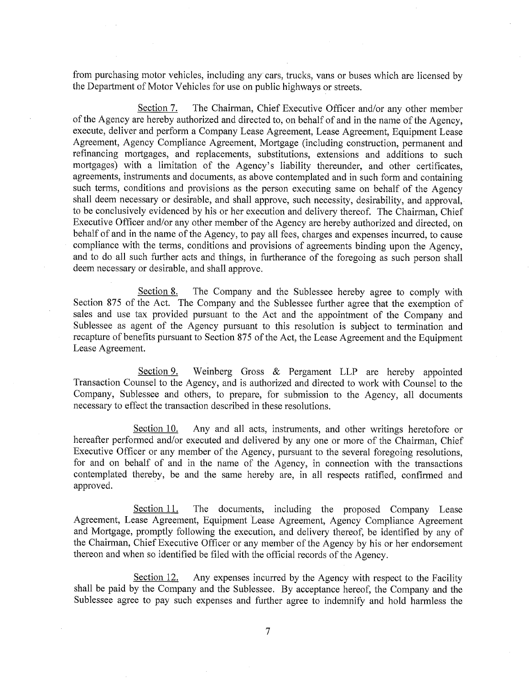from purchasing motor vehicles, including any cars, trucks, vans or buses which are licensed by the Department of Motor Vehicles for use on public highways or streets.

The Chairman, Chief Executive Officer and/or any other member Section 7. of the Agency are hereby authorized and directed to, on behalf of and in the name of the Agency, execute, deliver and perform a Company Lease Agreement, Lease Agreement, Equipment Lease Agreement, Agency Compliance Agreement, Mortgage (including construction, permanent and refinancing mortgages, and replacements, substitutions, extensions and additions to such mortgages) with a limitation of the Agency's liability thereunder, and other certificates, agreements, instruments and documents, as above contemplated and in such form and containing such terms, conditions and provisions as the person executing same on behalf of the Agency shall deem necessary or desirable, and shall approve, such necessity, desirability, and approval, to be conclusively evidenced by his or her execution and delivery thereof. The Chairman, Chief Executive Officer and/or any other member of the Agency are hereby authorized and directed, on behalf of and in the name of the Agency, to pay all fees, charges and expenses incurred, to cause compliance with the terms, conditions and provisions of agreements binding upon the Agency, and to do all such further acts and things, in furtherance of the foregoing as such person shall deem necessary or desirable, and shall approve.

Section 8. The Company and the Sublessee hereby agree to comply with Section 875 of the Act. The Company and the Sublessee further agree that the exemption of sales and use tax provided pursuant to the Act and the appointment of the Company and Sublessee as agent of the Agency pursuant to this resolution is subject to termination and recapture of benefits pursuant to Section 875 of the Act, the Lease Agreement and the Equipment Lease Agreement.

Section 9. Weinberg Gross & Pergament LLP are hereby appointed Transaction Counsel to the Agency, and is authorized and directed to work with Counsel to the Company, Sublessee and others, to prepare, for submission to the Agency, all documents necessary to effect the transaction described in these resolutions.

Any and all acts, instruments, and other writings heretofore or Section 10. hereafter performed and/or executed and delivered by any one or more of the Chairman, Chief Executive Officer or any member of the Agency, pursuant to the several foregoing resolutions, for and on behalf of and in the name of the Agency, in connection with the transactions contemplated thereby, be and the same hereby are, in all respects ratified, confirmed and approved.

Section 11. The documents, including the proposed Company Lease Agreement, Lease Agreement, Equipment Lease Agreement, Agency Compliance Agreement and Mortgage, promptly following the execution, and delivery thereof, be identified by any of the Chairman, Chief Executive Officer or any member of the Agency by his or her endorsement thereon and when so identified be filed with the official records of the Agency.

Section 12. Any expenses incurred by the Agency with respect to the Facility shall be paid by the Company and the Sublessee. By acceptance hereof, the Company and the Sublessee agree to pay such expenses and further agree to indemnify and hold harmless the

 $\overline{7}$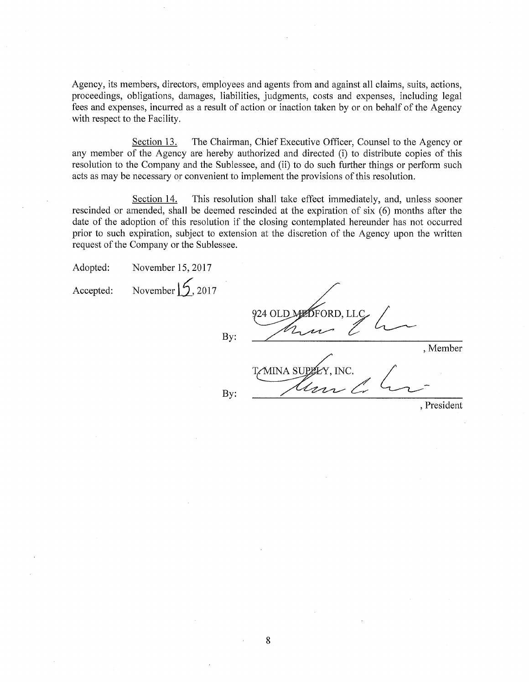Agency, its members, directors, employees and agents from and against all claims, suits, actions, proceedings, obligations, damages, liabilities, judgments, costs and expenses, including legal fees and expenses, incurred as a result of action or inaction taken by or on behalf of the Agency with respect to the Facility.

Section 13. The Chairman, Chief Executive Officer, Counsel to the Agency or any member of the Agency are hereby authorized and directed (i) to distribute copies of this resolution to the Company and the Sublessee, and (ii) to do such further things or perform such acts as may be necessary or convenient to implement the provisions of this resolution.

Section 14. This resolution shall take effect immediately, and, unless sooner rescinded or amended, shall be deemed rescinded at the expiration of six (6) months after the date of the adoption of this resolution if the closing contemplated hereunder has not occurred prior to such expiration, subject to extension at the discretion of the Agency upon the written request of the Company or the Sublessee.

November  $\mathcal{L}_{2017}$ Accepted:

*S*ford. Li 924 OLD By: , Member **MINA SUPE** ÉY. INC. By: , President

8